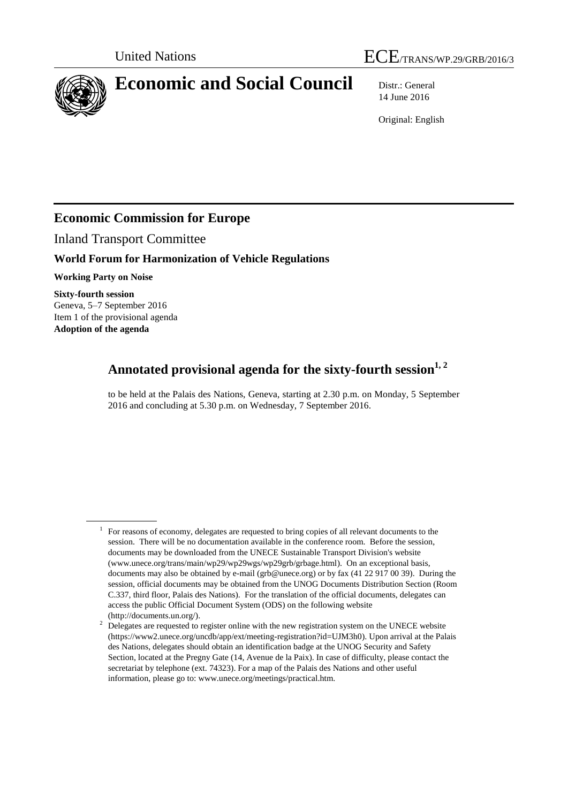



# **Economic and Social Council** Distr.: General

14 June 2016

Original: English

# **Economic Commission for Europe**

Inland Transport Committee

# **World Forum for Harmonization of Vehicle Regulations**

**Working Party on Noise**

**Sixty-fourth session** Geneva, 5–7 September 2016 Item 1 of the provisional agenda **Adoption of the agenda**

# **Annotated provisional agenda for the sixty-fourth session1, <sup>2</sup>**

to be held at the Palais des Nations, Geneva, starting at 2.30 p.m. on Monday, 5 September 2016 and concluding at 5.30 p.m. on Wednesday, 7 September 2016.

<sup>&</sup>lt;sup>1</sup> For reasons of economy, delegates are requested to bring copies of all relevant documents to the session. There will be no documentation available in the conference room. Before the session, documents may be downloaded from the UNECE Sustainable Transport Division's website (www.unece.org/trans/main/wp29/wp29wgs/wp29grb/grbage.html). On an exceptional basis, documents may also be obtained by e-mail (grb@unece.org) or by fax (41 22 917 00 39). During the session, official documents may be obtained from the UNOG Documents Distribution Section (Room C.337, third floor, Palais des Nations). For the translation of the official documents, delegates can access the public Official Document System (ODS) on the following website (http://documents.un.org/).

<sup>&</sup>lt;sup>2</sup> Delegates are requested to register online with the new registration system on the UNECE website (https://www2.unece.org/uncdb/app/ext/meeting-registration?id=UJM3h0). Upon arrival at the Palais des Nations, delegates should obtain an identification badge at the UNOG Security and Safety Section, located at the Pregny Gate (14, Avenue de la Paix). In case of difficulty, please contact the secretariat by telephone (ext. 74323). For a map of the Palais des Nations and other useful information, please go to: www.unece.org/meetings/practical.htm.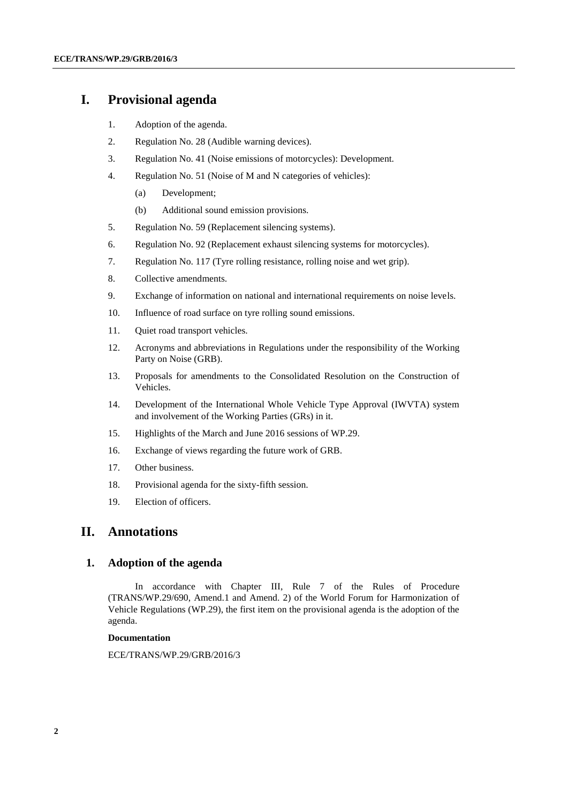# **I. Provisional agenda**

- 1. Adoption of the agenda.
- 2. Regulation No. 28 (Audible warning devices).
- 3. Regulation No. 41 (Noise emissions of motorcycles): Development.
- 4. Regulation No. 51 (Noise of M and N categories of vehicles):
	- (a) Development;
	- (b) Additional sound emission provisions.
- 5. Regulation No. 59 (Replacement silencing systems).
- 6. Regulation No. 92 (Replacement exhaust silencing systems for motorcycles).
- 7. Regulation No. 117 (Tyre rolling resistance, rolling noise and wet grip).
- 8. Collective amendments.
- 9. Exchange of information on national and international requirements on noise levels.
- 10. Influence of road surface on tyre rolling sound emissions.
- 11. Quiet road transport vehicles.
- 12. Acronyms and abbreviations in Regulations under the responsibility of the Working Party on Noise (GRB).
- 13. Proposals for amendments to the Consolidated Resolution on the Construction of Vehicles.
- 14. Development of the International Whole Vehicle Type Approval (IWVTA) system and involvement of the Working Parties (GRs) in it.
- 15. Highlights of the March and June 2016 sessions of WP.29.
- 16. Exchange of views regarding the future work of GRB.
- 17. Other business.
- 18. Provisional agenda for the sixty-fifth session.
- 19. Election of officers.

# **II. Annotations**

# **1. Adoption of the agenda**

In accordance with Chapter III, Rule 7 of the Rules of Procedure (TRANS/WP.29/690, Amend.1 and Amend. 2) of the World Forum for Harmonization of Vehicle Regulations (WP.29), the first item on the provisional agenda is the adoption of the agenda.

#### **Documentation**

ECE/TRANS/WP.29/GRB/2016/3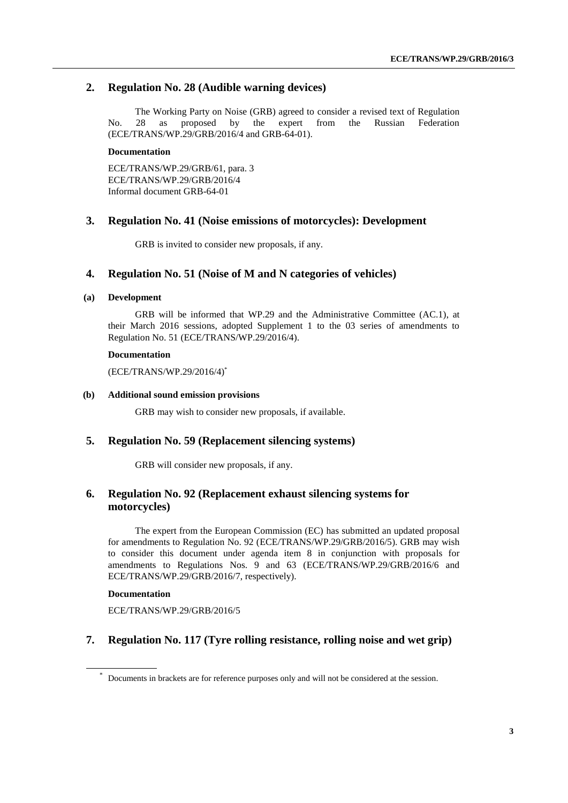# **2. Regulation No. 28 (Audible warning devices)**

The Working Party on Noise (GRB) agreed to consider a revised text of Regulation No. 28 as proposed by the expert from the Russian Federation (ECE/TRANS/WP.29/GRB/2016/4 and GRB-64-01).

#### **Documentation**

ECE/TRANS/WP.29/GRB/61, para. 3 ECE/TRANS/WP.29/GRB/2016/4 Informal document GRB-64-01

# **3. Regulation No. 41 (Noise emissions of motorcycles): Development**

GRB is invited to consider new proposals, if any.

# **4. Regulation No. 51 (Noise of M and N categories of vehicles)**

#### **(a) Development**

GRB will be informed that WP.29 and the Administrative Committee (AC.1), at their March 2016 sessions, adopted Supplement 1 to the 03 series of amendments to Regulation No. 51 (ECE/TRANS/WP.29/2016/4).

#### **Documentation**

(ECE/TRANS/WP.29/2016/4) \*

#### **(b) Additional sound emission provisions**

GRB may wish to consider new proposals, if available.

### **5. Regulation No. 59 (Replacement silencing systems)**

GRB will consider new proposals, if any.

# **6. Regulation No. 92 (Replacement exhaust silencing systems for motorcycles)**

The expert from the European Commission (EC) has submitted an updated proposal for amendments to Regulation No. 92 (ECE/TRANS/WP.29/GRB/2016/5). GRB may wish to consider this document under agenda item 8 in conjunction with proposals for amendments to Regulations Nos. 9 and 63 (ECE/TRANS/WP.29/GRB/2016/6 and ECE/TRANS/WP.29/GRB/2016/7, respectively).

### **Documentation**

ECE/TRANS/WP.29/GRB/2016/5

# **7. Regulation No. 117 (Tyre rolling resistance, rolling noise and wet grip)**

Documents in brackets are for reference purposes only and will not be considered at the session.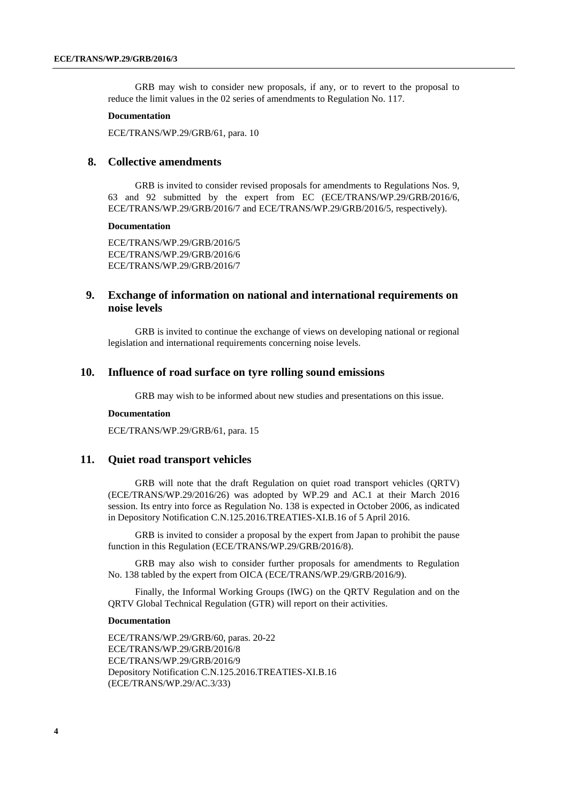GRB may wish to consider new proposals, if any, or to revert to the proposal to reduce the limit values in the 02 series of amendments to Regulation No. 117.

#### **Documentation**

ECE/TRANS/WP.29/GRB/61, para. 10

# **8. Collective amendments**

GRB is invited to consider revised proposals for amendments to Regulations Nos. 9, 63 and 92 submitted by the expert from EC (ECE/TRANS/WP.29/GRB/2016/6, ECE/TRANS/WP.29/GRB/2016/7 and ECE/TRANS/WP.29/GRB/2016/5, respectively).

#### **Documentation**

ECE/TRANS/WP.29/GRB/2016/5 ECE/TRANS/WP.29/GRB/2016/6 ECE/TRANS/WP.29/GRB/2016/7

# **9. Exchange of information on national and international requirements on noise levels**

GRB is invited to continue the exchange of views on developing national or regional legislation and international requirements concerning noise levels.

# **10. Influence of road surface on tyre rolling sound emissions**

GRB may wish to be informed about new studies and presentations on this issue.

#### **Documentation**

ECE/TRANS/WP.29/GRB/61, para. 15

### **11. Quiet road transport vehicles**

GRB will note that the draft Regulation on quiet road transport vehicles (QRTV) (ECE/TRANS/WP.29/2016/26) was adopted by WP.29 and AC.1 at their March 2016 session. Its entry into force as Regulation No. 138 is expected in October 2006, as indicated in Depository Notification C.N.125.2016.TREATIES-XI.B.16 of 5 April 2016.

GRB is invited to consider a proposal by the expert from Japan to prohibit the pause function in this Regulation (ECE/TRANS/WP.29/GRB/2016/8).

GRB may also wish to consider further proposals for amendments to Regulation No. 138 tabled by the expert from OICA (ECE/TRANS/WP.29/GRB/2016/9).

Finally, the Informal Working Groups (IWG) on the QRTV Regulation and on the QRTV Global Technical Regulation (GTR) will report on their activities.

#### **Documentation**

ECE/TRANS/WP.29/GRB/60, paras. 20-22 ECE/TRANS/WP.29/GRB/2016/8 ECE/TRANS/WP.29/GRB/2016/9 Depository Notification C.N.125.2016.TREATIES-XI.B.16 (ECE/TRANS/WP.29/AC.3/33)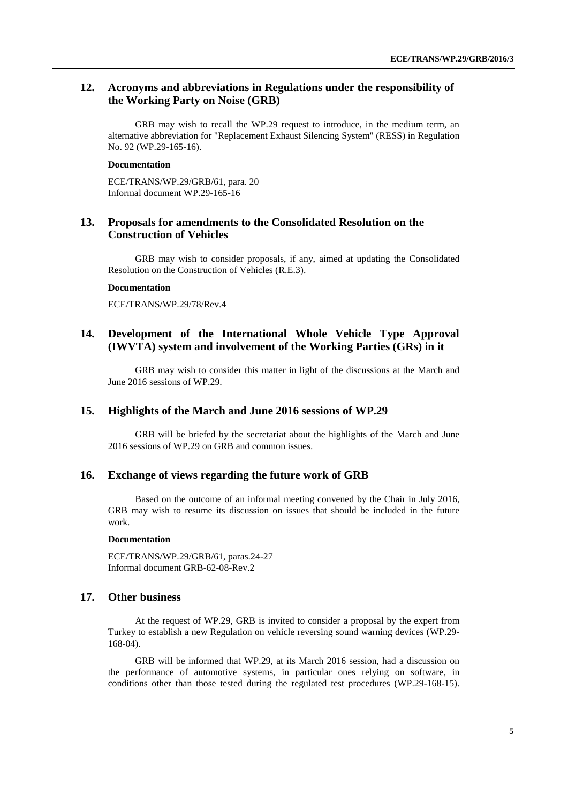# **12. Acronyms and abbreviations in Regulations under the responsibility of the Working Party on Noise (GRB)**

GRB may wish to recall the WP.29 request to introduce, in the medium term, an alternative abbreviation for "Replacement Exhaust Silencing System" (RESS) in Regulation No. 92 (WP.29-165-16).

#### **Documentation**

ECE/TRANS/WP.29/GRB/61, para. 20 Informal document WP.29-165-16

# **13. Proposals for amendments to the Consolidated Resolution on the Construction of Vehicles**

GRB may wish to consider proposals, if any, aimed at updating the Consolidated Resolution on the Construction of Vehicles (R.E.3).

#### **Documentation**

ECE/TRANS/WP.29/78/Rev.4

# **14. Development of the International Whole Vehicle Type Approval (IWVTA) system and involvement of the Working Parties (GRs) in it**

GRB may wish to consider this matter in light of the discussions at the March and June 2016 sessions of WP.29.

# **15. Highlights of the March and June 2016 sessions of WP.29**

GRB will be briefed by the secretariat about the highlights of the March and June 2016 sessions of WP.29 on GRB and common issues.

### **16. Exchange of views regarding the future work of GRB**

Based on the outcome of an informal meeting convened by the Chair in July 2016, GRB may wish to resume its discussion on issues that should be included in the future work.

#### **Documentation**

ECE/TRANS/WP.29/GRB/61, paras.24-27 Informal document GRB-62-08-Rev.2

# **17. Other business**

At the request of WP.29, GRB is invited to consider a proposal by the expert from Turkey to establish a new Regulation on vehicle reversing sound warning devices (WP.29- 168-04).

GRB will be informed that WP.29, at its March 2016 session, had a discussion on the performance of automotive systems, in particular ones relying on software, in conditions other than those tested during the regulated test procedures (WP.29-168-15).